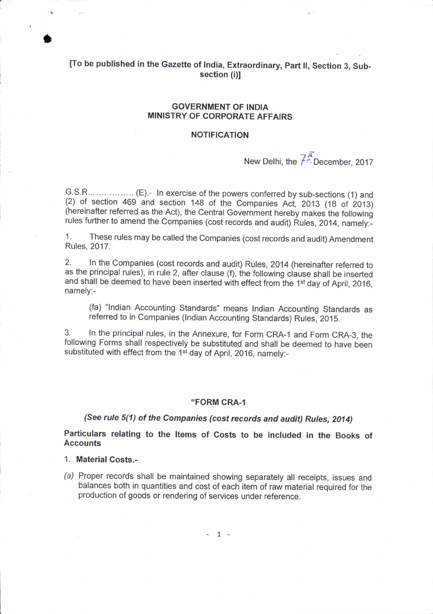# [To be published in the Gazette of India, Extraordinary, Part II, Section 3, Subsection (i)I

### GOVERNMENT OF INDIA MINISTRY OF CORPORATE AFFAIRS

### NOTIFICATION

New Delhi, the  $\overline{Z}^{\overline{A}}$ : December, 2017

9,S.1..... ,.... (2) of section 469 and section 148 of the Companies Act, 2013 (18 of 2013) (hereinafter referred as the Act), the central Government hereby makes the following rules further to amend the Companies (cost records and audit) Rules, 2014, namely:-

1. These rules may be called the Companies (cost records and audit) Amendment Rules, 2017.

2. In the companies (cost records and audit) Rules, 2014 (hereinafter referred to as the principal rules), in rule 2, after clause (f), the following clause shall be inserted and shall be deemed to have been inserted with effect from the 1<sup>st</sup> day of April, 2016, namely:-

(fa) "lndian Accounting Standards" means Indian Accounting Standards as referred to in Companies (lndian Accounting Standards) Rules, 2015.

3.<br>followir In the principal rules, in the Annexure, for Form CRA-1 and Form CRA-3, the following Forms shall respectively be substituted and shall be deemed to have been substituted with effect from the 1<sup>st</sup> day of April, 2016, namely:-

#### "FORM CRA-1

## (See rule 5(1) of the Companies (cost records and audit) Rules, 2014)

Particulars relating to the ltems of Costs to be included in the Books of **Accounts** 

<sup>1</sup>. Material Costs.-

a

(a) Proper records shall be maintained showing separately all receipts, issues and balances both in quantities and cost of each item of raw material required for the production of goods or rendering of services under reference.

 $-1 -$